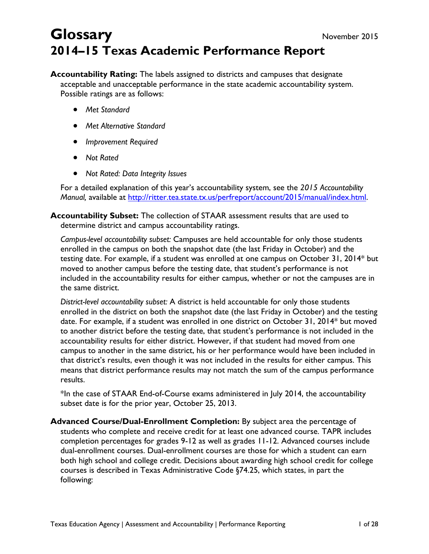# **Glossary** November 2015 **2014–15 Texas Academic Performance Report**

**Accountability Rating:** The labels assigned to districts and campuses that designate acceptable and unacceptable performance in the state academic accountability system. Possible ratings are as follows:

- *Met Standard*
- *Met Alternative Standard*
- *Improvement Required*
- *Not Rated*
- *Not Rated: Data Integrity Issues*

For a detailed explanation of this year's accountability system, see the *2015 Accountability Manual,* available at http://ritter.tea.state.tx.us/perfreport/account/2015/manual/index.html.

**Accountability Subset:** The collection of STAAR assessment results that are used to determine district and campus accountability ratings.

*Campus-level accountability subset:* Campuses are held accountable for only those students enrolled in the campus on both the snapshot date (the last Friday in October) and the testing date. For example, if a student was enrolled at one campus on October 31, 2014\* but moved to another campus before the testing date, that student's performance is not included in the accountability results for either campus, whether or not the campuses are in the same district.

*District-level accountability subset:* A district is held accountable for only those students enrolled in the district on both the snapshot date (the last Friday in October) and the testing date. For example, if a student was enrolled in one district on October 31, 2014\* but moved to another district before the testing date, that student's performance is not included in the accountability results for either district. However, if that student had moved from one campus to another in the same district, his or her performance would have been included in that district's results, even though it was not included in the results for either campus. This means that district performance results may not match the sum of the campus performance results.

\*In the case of STAAR End-of-Course exams administered in July 2014, the accountability subset date is for the prior year, October 25, 2013.

**Advanced Course/Dual-Enrollment Completion:** By subject area the percentage of students who complete and receive credit for at least one advanced course. TAPR includes completion percentages for grades 9-12 as well as grades 11-12. Advanced courses include dual-enrollment courses. Dual-enrollment courses are those for which a student can earn both high school and college credit. Decisions about awarding high school credit for college courses is described in Texas Administrative Code §74.25, which states, in part the following: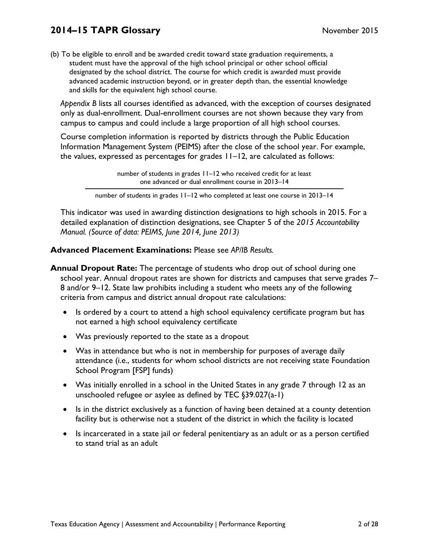(b) To be eligible to enroll and be awarded credit toward state graduation requirements, a student must have the approval of the high school principal or other school official designated by the school district. The course for which credit is awarded must provide advanced academic instruction beyond, or in greater depth than, the essential knowledge and skills for the equivalent high school course.

*Appendix B* lists all courses identified as advanced, with the exception of courses designated only as dual-enrollment. Dual-enrollment courses are not shown because they vary from campus to campus and could include a large proportion of all high school courses.

Course completion information is reported by districts through the Public Education Information Management System (PEIMS) after the close of the school year. For example, the values, expressed as percentages for grades 11–12, are calculated as follows:

> number of students in grades 11–12 who received credit for at least one advanced or dual enrollment course in 2013–14

number of students in grades 11–12 who completed at least one course in 2013–14

This indicator was used in awarding distinction designations to high schools in 2015. For a detailed explanation of distinction designations, see Chapter 5 of the *2015 Accountability Manual. (Source of data: PEIMS, June 2014, June 2013)* 

### **Advanced Placement Examinations:** Please see *AP/IB Results.*

- **Annual Dropout Rate:** The percentage of students who drop out of school during one school year. Annual dropout rates are shown for districts and campuses that serve grades 7– 8 and/or 9–12. State law prohibits including a student who meets any of the following criteria from campus and district annual dropout rate calculations:
	- Is ordered by a court to attend a high school equivalency certificate program but has not earned a high school equivalency certificate
	- Was previously reported to the state as a dropout
	- Was in attendance but who is not in membership for purposes of average daily attendance (i.e., students for whom school districts are not receiving state Foundation School Program [FSP] funds)
	- Was initially enrolled in a school in the United States in any grade 7 through 12 as an unschooled refugee or asylee as defined by TEC §39.027(a-1)
	- Is in the district exclusively as a function of having been detained at a county detention facility but is otherwise not a student of the district in which the facility is located
	- Is incarcerated in a state jail or federal penitentiary as an adult or as a person certified to stand trial as an adult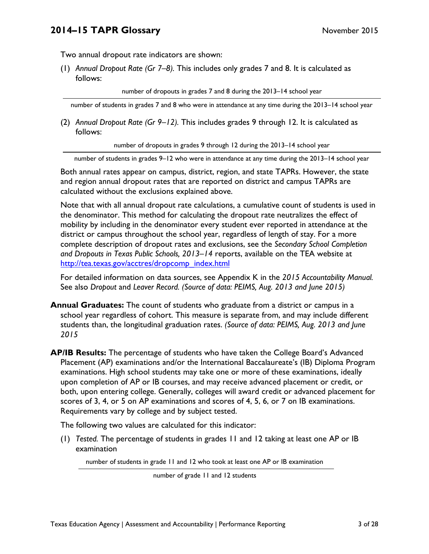Two annual dropout rate indicators are shown:

(1) *Annual Dropout Rate (Gr 7–8).* This includes only grades 7 and 8. It is calculated as follows:

number of dropouts in grades 7 and 8 during the 2013–14 school year

number of students in grades 7 and 8 who were in attendance at any time during the 2013–14 school year

(2) *Annual Dropout Rate (Gr 9–12).* This includes grades 9 through 12. It is calculated as follows:

number of dropouts in grades 9 through 12 during the 2013–14 school year

number of students in grades 9–12 who were in attendance at any time during the 2013–14 school year

Both annual rates appear on campus, district, region, and state TAPRs. However, the state and region annual dropout rates that are reported on district and campus TAPRs are calculated without the exclusions explained above.

Note that with all annual dropout rate calculations, a cumulative count of students is used in the denominator. This method for calculating the dropout rate neutralizes the effect of mobility by including in the denominator every student ever reported in attendance at the district or campus throughout the school year, regardless of length of stay. For a more complete description of dropout rates and exclusions, see the *Secondary School Completion and Dropouts in Texas Public Schools, 2013–14* reports, available on the TEA website at http://tea.texas.gov/acctres/dropcomp\_index.html

For detailed information on data sources, see Appendix K in the *2015 Accountability Manual.*  See also *Dropout* and *Leaver Record. (Source of data: PEIMS, Aug. 2013 and June 2015)* 

**Annual Graduates:** The count of students who graduate from a district or campus in a school year regardless of cohort. This measure is separate from, and may include different students than, the longitudinal graduation rates. *(Source of data: PEIMS, Aug. 2013 and June 2015* 

**AP/IB Results:** The percentage of students who have taken the College Board's Advanced Placement (AP) examinations and/or the International Baccalaureate's (IB) Diploma Program examinations. High school students may take one or more of these examinations, ideally upon completion of AP or IB courses, and may receive advanced placement or credit, or both, upon entering college. Generally, colleges will award credit or advanced placement for scores of 3, 4, or 5 on AP examinations and scores of 4, 5, 6, or 7 on IB examinations. Requirements vary by college and by subject tested.

The following two values are calculated for this indicator:

(1) *Tested.* The percentage of students in grades 11 and 12 taking at least one AP or IB examination

number of students in grade 11 and 12 who took at least one AP or IB examination

number of grade 11 and 12 students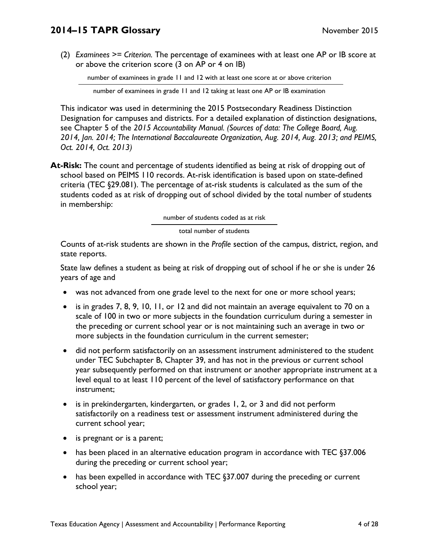(2) *Examinees >= Criterion.* The percentage of examinees with at least one AP or IB score at or above the criterion score (3 on AP or 4 on IB)

number of examinees in grade 11 and 12 with at least one score at or above criterion

number of examinees in grade 11 and 12 taking at least one AP or IB examination

This indicator was used in determining the 2015 Postsecondary Readiness Distinction Designation for campuses and districts. For a detailed explanation of distinction designations, see Chapter 5 of the *2015 Accountability Manual. (Sources of data: The College Board, Aug. 2014, Jan. 2014; The International Baccalaureate Organization, Aug. 2014, Aug. 2013; and PEIMS, Oct. 2014, Oct. 2013)* 

**At-Risk:** The count and percentage of students identified as being at risk of dropping out of school based on PEIMS 110 records. At-risk identification is based upon on state-defined criteria (TEC §29.081). The percentage of at-risk students is calculated as the sum of the students coded as at risk of dropping out of school divided by the total number of students in membership:

number of students coded as at risk

#### total number of students

Counts of at-risk students are shown in the *Profile* section of the campus, district, region, and state reports.

State law defines a student as being at risk of dropping out of school if he or she is under 26 years of age and

- was not advanced from one grade level to the next for one or more school years;
- is in grades 7, 8, 9, 10, 11, or 12 and did not maintain an average equivalent to 70 on a scale of 100 in two or more subjects in the foundation curriculum during a semester in the preceding or current school year or is not maintaining such an average in two or more subjects in the foundation curriculum in the current semester;
- did not perform satisfactorily on an assessment instrument administered to the student under TEC Subchapter B, Chapter 39, and has not in the previous or current school year subsequently performed on that instrument or another appropriate instrument at a level equal to at least 110 percent of the level of satisfactory performance on that instrument;
- is in prekindergarten, kindergarten, or grades 1, 2, or 3 and did not perform satisfactorily on a readiness test or assessment instrument administered during the current school year;
- is pregnant or is a parent;
- has been placed in an alternative education program in accordance with TEC §37.006 during the preceding or current school year;
- has been expelled in accordance with TEC §37.007 during the preceding or current school year;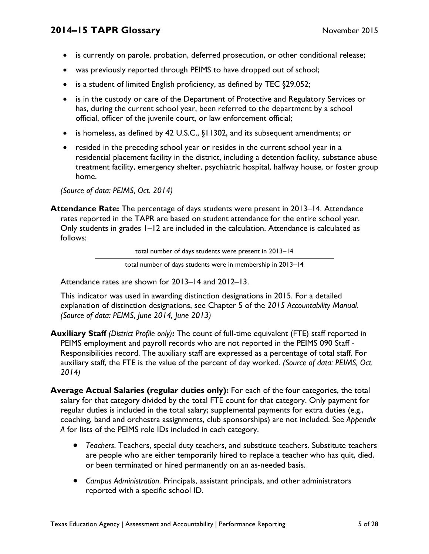- is currently on parole, probation, deferred prosecution, or other conditional release;
- was previously reported through PEIMS to have dropped out of school;
- is a student of limited English proficiency, as defined by TEC §29.052;
- is in the custody or care of the Department of Protective and Regulatory Services or has, during the current school year, been referred to the department by a school official, officer of the juvenile court, or law enforcement official;
- is homeless, as defined by 42 U.S.C., §11302, and its subsequent amendments; or
- resided in the preceding school year or resides in the current school year in a residential placement facility in the district, including a detention facility, substance abuse treatment facility, emergency shelter, psychiatric hospital, halfway house, or foster group home.

*(Source of data: PEIMS, Oct. 2014)* 

**Attendance Rate:** The percentage of days students were present in 2013–14. Attendance rates reported in the TAPR are based on student attendance for the entire school year. Only students in grades 1–12 are included in the calculation. Attendance is calculated as follows:

total number of days students were present in 2013–14

total number of days students were in membership in 2013–14

Attendance rates are shown for 2013–14 and 2012–13.

This indicator was used in awarding distinction designations in 2015. For a detailed explanation of distinction designations, see Chapter 5 of the *2015 Accountability Manual. (Source of data: PEIMS, June 2014, June 2013)* 

- **Auxiliary Staff** *(District Profile only)***:** The count of full-time equivalent (FTE) staff reported in PEIMS employment and payroll records who are not reported in the PEIMS 090 Staff - Responsibilities record. The auxiliary staff are expressed as a percentage of total staff. For auxiliary staff, the FTE is the value of the percent of day worked. *(Source of data: PEIMS, Oct. 2014)*
- **Average Actual Salaries (regular duties only):** For each of the four categories, the total salary for that category divided by the total FTE count for that category. Only payment for regular duties is included in the total salary; supplemental payments for extra duties (e.g., coaching, band and orchestra assignments, club sponsorships) are not included. See *Appendix A* for lists of the PEIMS role IDs included in each category.
	- *Teachers*. Teachers, special duty teachers, and substitute teachers. Substitute teachers are people who are either temporarily hired to replace a teacher who has quit, died, or been terminated or hired permanently on an as-needed basis.
	- *Campus Administration*. Principals, assistant principals, and other administrators reported with a specific school ID.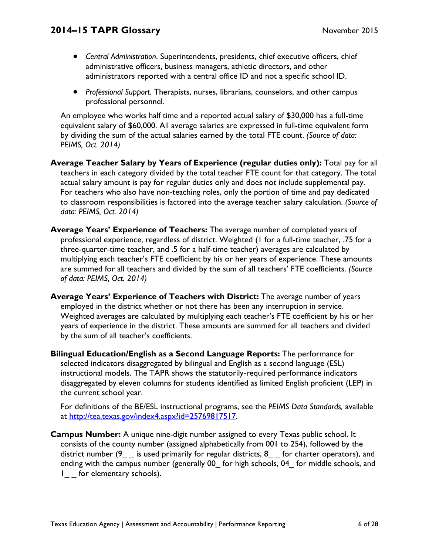- *Central Administration*. Superintendents, presidents, chief executive officers, chief administrative officers, business managers, athletic directors, and other administrators reported with a central office ID and not a specific school ID.
- *Professional Support*. Therapists, nurses, librarians, counselors, and other campus professional personnel.

An employee who works half time and a reported actual salary of \$30,000 has a full-time equivalent salary of \$60,000. All average salaries are expressed in full-time equivalent form by dividing the sum of the actual salaries earned by the total FTE count. *(Source of data: PEIMS, Oct. 2014)* 

**Average Teacher Salary by Years of Experience (regular duties only):** Total pay for all teachers in each category divided by the total teacher FTE count for that category. The total actual salary amount is pay for regular duties only and does not include supplemental pay. For teachers who also have non-teaching roles, only the portion of time and pay dedicated to classroom responsibilities is factored into the average teacher salary calculation. *(Source of data: PEIMS, Oct. 2014)* 

- **Average Years' Experience of Teachers:** The average number of completed years of professional experience, regardless of district. Weighted (1 for a full-time teacher, .75 for a three-quarter-time teacher, and .5 for a half-time teacher) averages are calculated by multiplying each teacher's FTE coefficient by his or her years of experience. These amounts are summed for all teachers and divided by the sum of all teachers' FTE coefficients. *(Source of data: PEIMS, Oct. 2014)*
- **Average Years' Experience of Teachers with District:** The average number of years employed in the district whether or not there has been any interruption in service. Weighted averages are calculated by multiplying each teacher's FTE coefficient by his or her years of experience in the district. These amounts are summed for all teachers and divided by the sum of all teacher's coefficients.
- the current school year. **Bilingual Education/English as a Second Language Reports:** The performance for selected indicators disaggregated by bilingual and English as a second language (ESL) instructional models. The TAPR shows the statutorily-required performance indicators disaggregated by eleven columns for students identified as limited English proficient (LEP) in

For definitions of the BE/ESL instructional programs, see the *PEIMS Data Standards, available* at http://tea.texas.gov/index4.aspx?id=25769817517.

**Campus Number:** A unique nine-digit number assigned to every Texas public school. It consists of the county number (assigned alphabetically from 001 to 254), followed by the district number (9 is used primarily for regular districts, 8 for charter operators), and ending with the campus number (generally 00 for high schools, 04 for middle schools, and 1 for elementary schools).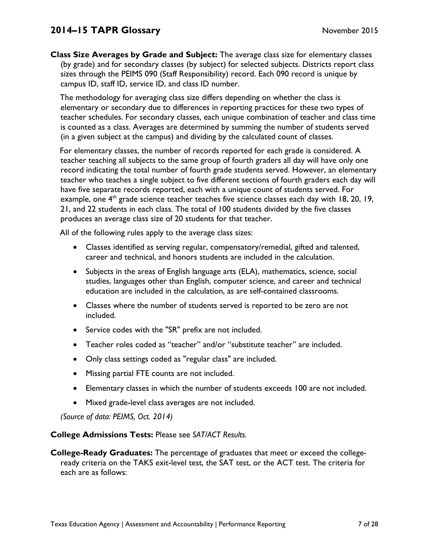**Class Size Averages by Grade and Subject:** The average class size for elementary classes (by grade) and for secondary classes (by subject) for selected subjects. Districts report class sizes through the PEIMS 090 (Staff Responsibility) record. Each 090 record is unique by campus ID, staff ID, service ID, and class ID number.

The methodology for averaging class size differs depending on whether the class is elementary or secondary due to differences in reporting practices for these two types of teacher schedules. For secondary classes, each unique combination of teacher and class time is counted as a class. Averages are determined by summing the number of students served (in a given subject at the campus) and dividing by the calculated count of classes.

For elementary classes, the number of records reported for each grade is considered. A teacher teaching all subjects to the same group of fourth graders all day will have only one record indicating the total number of fourth grade students served. However, an elementary teacher who teaches a single subject to five different sections of fourth graders each day will have five separate records reported, each with a unique count of students served. For example, one  $4<sup>th</sup>$  grade science teacher teaches five science classes each day with 18, 20, 19, 21, and 22 students in each class. The total of 100 students divided by the five classes produces an average class size of 20 students for that teacher.

All of the following rules apply to the average class sizes:

- Classes identified as serving regular, compensatory/remedial, gifted and talented, career and technical, and honors students are included in the calculation.
- Subjects in the areas of English language arts (ELA), mathematics, science, social studies, languages other than English, computer science, and career and technical education are included in the calculation, as are self-contained classrooms.
- Classes where the number of students served is reported to be zero are not included.
- Service codes with the "SR" prefix are not included.
- Teacher roles coded as "teacher" and/or "substitute teacher" are included.
- Only class settings coded as "regular class" are included.
- Missing partial FTE counts are not included.
- Elementary classes in which the number of students exceeds 100 are not included.
- Mixed grade-level class averages are not included.

*(Source of data: PEIMS, Oct. 2014)* 

**College Admissions Tests:** Please see *SAT/ACT Results.* 

**College-Ready Graduates:** The percentage of graduates that meet or exceed the collegeready criteria on the TAKS exit-level test, the SAT test, or the ACT test. The criteria for each are as follows: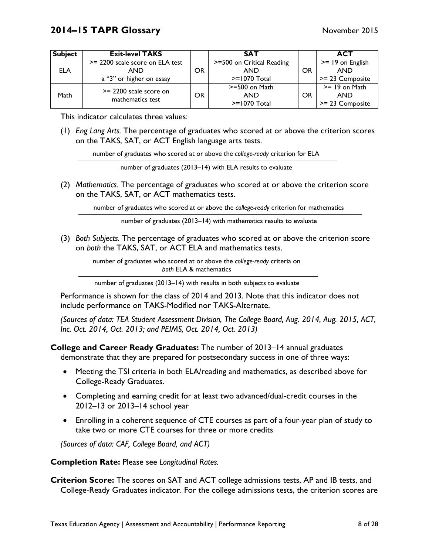| <b>Subject</b> | <b>Exit-level TAKS</b>                       |    | <b>SAT</b>                |    | <b>ACT</b>         |
|----------------|----------------------------------------------|----|---------------------------|----|--------------------|
|                | >= 2200 scale score on ELA test              |    | >=500 on Critical Reading |    | $>= 19$ on English |
| <b>ELA</b>     | AND                                          | OR | AND                       | OR | <b>AND</b>         |
|                | a "3" or higher on essay                     |    | $>= 1070$ Total           |    | >= 23 Composite    |
|                | $>= 2200$ scale score on<br>mathematics test |    | $>=$ 500 on Math          |    | $>= 19$ on Math    |
| Math           |                                              | OR | AND                       | OR | <b>AND</b>         |
|                |                                              |    | $>= 1070$ Total           |    | >= 23 Composite    |

This indicator calculates three values:

(1) *Eng Lang Arts.* The percentage of graduates who scored at or above the criterion scores on the TAKS, SAT, or ACT English language arts tests.

number of graduates who scored at or above the *college-ready* criterion for ELA

number of graduates (2013–14) with ELA results to evaluate

(2) *Mathematics.* The percentage of graduates who scored at or above the criterion score on the TAKS, SAT, or ACT mathematics tests.

number of graduates who scored at or above the *college-ready* criterion for mathematics

number of graduates (2013–14) with mathematics results to evaluate

(3) *Both Subjects.* The percentage of graduates who scored at or above the criterion score on *both* the TAKS, SAT, or ACT ELA and mathematics tests.

> number of graduates who scored at or above the *college-ready* criteria on *both* ELA & mathematics

> number of graduates (2013–14) with results in both subjects to evaluate

Performance is shown for the class of 2014 and 2013. Note that this indicator does not include performance on TAKS-Modified nor TAKS-Alternate.

*(Sources of data: TEA Student Assessment Division, The College Board, Aug. 2014, Aug. 2015, ACT, Inc. Oct. 2014, Oct. 2013; and PEIMS, Oct. 2014, Oct. 2013)* 

**College and Career Ready Graduates:** The number of 2013–14 annual graduates demonstrate that they are prepared for postsecondary success in one of three ways:

- Meeting the TSI criteria in both ELA/reading and mathematics, as described above for College-Ready Graduates.
- Completing and earning credit for at least two advanced/dual-credit courses in the 2012–13 or 2013–14 school year
- Enrolling in a coherent sequence of CTE courses as part of a four-year plan of study to take two or more CTE courses for three or more credits

*(Sources of data: CAF, College Board, and ACT)* 

**Completion Rate:** Please see *Longitudinal Rates.* 

**Criterion Score:** The scores on SAT and ACT college admissions tests, AP and IB tests, and College-Ready Graduates indicator. For the college admissions tests, the criterion scores are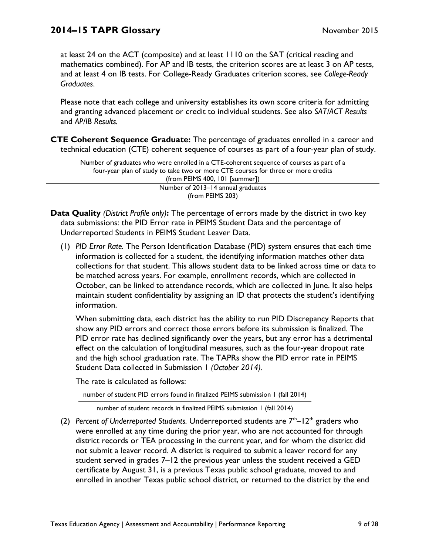at least 24 on the ACT (composite) and at least 1110 on the SAT (critical reading and mathematics combined). For AP and IB tests, the criterion scores are at least 3 on AP tests, and at least 4 on IB tests. For College-Ready Graduates criterion scores, see *College-Ready Graduates*.

Please note that each college and university establishes its own score criteria for admitting and granting advanced placement or credit to individual students. See also *SAT/ACT Results*  and *AP/IB Results.* 

**CTE Coherent Sequence Graduate:** The percentage of graduates enrolled in a career and technical education (CTE) coherent sequence of courses as part of a four-year plan of study.

Number of graduates who were enrolled in a CTE-coherent sequence of courses as part of a four-year plan of study to take two or more CTE courses for three or more credits (from PEIMS 400, 101 [summer]) Number of 2013–14 annual graduates (from PEIMS 203)

- **Data Quality** *(District Profile only)***:** The percentage of errors made by the district in two key data submissions: the PID Error rate in PEIMS Student Data and the percentage of Underreported Students in PEIMS Student Leaver Data.
	- (1) *PID Error Rate.* The Person Identification Database (PID) system ensures that each time information is collected for a student, the identifying information matches other data collections for that student. This allows student data to be linked across time or data to be matched across years. For example, enrollment records, which are collected in October, can be linked to attendance records, which are collected in June. It also helps maintain student confidentiality by assigning an ID that protects the student's identifying information.

 Student Data collected in Submission 1 *(October 2014).* When submitting data, each district has the ability to run PID Discrepancy Reports that show any PID errors and correct those errors before its submission is finalized. The PID error rate has declined significantly over the years, but any error has a detrimental effect on the calculation of longitudinal measures, such as the four-year dropout rate and the high school graduation rate. The TAPRs show the PID error rate in PEIMS

The rate is calculated as follows:

number of student PID errors found in finalized PEIMS submission 1 (fall 2014)

number of student records in finalized PEIMS submission 1 (fall 2014)

(2) *Percent of Underreported Students.* Underreported students are  $7<sup>th</sup> - 12<sup>th</sup>$  graders who were enrolled at any time during the prior year, who are not accounted for through district records or TEA processing in the current year, and for whom the district did not submit a leaver record. A district is required to submit a leaver record for any student served in grades 7–12 the previous year unless the student received a GED certificate by August 31, is a previous Texas public school graduate, moved to and enrolled in another Texas public school district, or returned to the district by the end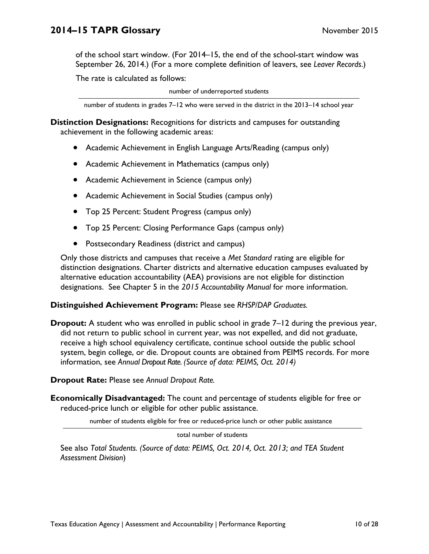of the school start window. (For 2014–15, the end of the school-start window was September 26, 2014.) (For a more complete definition of leavers, see *Leaver Records*.)

The rate is calculated as follows:

number of underreported students

number of students in grades 7–12 who were served in the district in the 2013–14 school year

**Distinction Designations:** Recognitions for districts and campuses for outstanding achievement in the following academic areas:

- Academic Achievement in English Language Arts/Reading (campus only)
- Academic Achievement in Mathematics (campus only)
- Academic Achievement in Science (campus only)
- Academic Achievement in Social Studies (campus only)
- Top 25 Percent: Student Progress (campus only)
- Top 25 Percent: Closing Performance Gaps (campus only)
- Postsecondary Readiness (district and campus)

Only those districts and campuses that receive a *Met Standard* rating are eligible for distinction designations. Charter districts and alternative education campuses evaluated by alternative education accountability (AEA) provisions are not eligible for distinction designations. See Chapter 5 in the *2015 Accountability Manual* for more information.

### **Distinguished Achievement Program:** Please see *RHSP/DAP Graduates.*

 information, see *Annual Dropout Rate. (Source of data: PEIMS, Oct. 2014)*  **Dropout:** A student who was enrolled in public school in grade 7–12 during the previous year, did not return to public school in current year, was not expelled, and did not graduate, receive a high school equivalency certificate, continue school outside the public school system, begin college, or die. Dropout counts are obtained from PEIMS records. For more

**Dropout Rate:** Please see *Annual Dropout Rate.* 

**Economically Disadvantaged:** The count and percentage of students eligible for free or reduced-price lunch or eligible for other public assistance.

number of students eligible for free or reduced-price lunch or other public assistance

total number of students

See also *Total Students. (Source of data: PEIMS, Oct. 2014, Oct. 2013; and TEA Student Assessment Division*)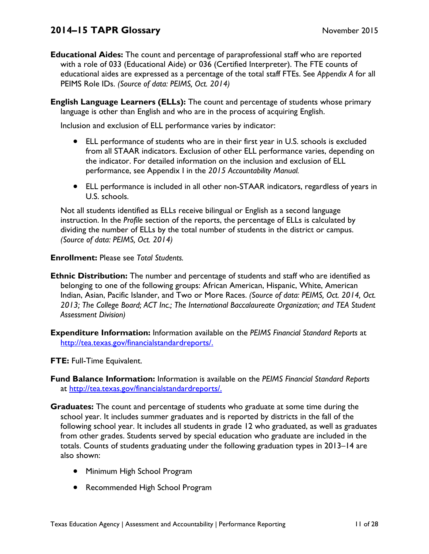- **Educational Aides:** The count and percentage of paraprofessional staff who are reported with a role of 033 (Educational Aide) or 036 (Certified Interpreter). The FTE counts of educational aides are expressed as a percentage of the total staff FTEs. See *Appendix A* for all PEIMS Role IDs. *(Source of data: PEIMS, Oct. 2014)*
- **English Language Learners (ELLs):** The count and percentage of students whose primary language is other than English and who are in the process of acquiring English.

Inclusion and exclusion of ELL performance varies by indicator:

- ELL performance of students who are in their first year in U.S. schools is excluded from all STAAR indicators. Exclusion of other ELL performance varies, depending on the indicator. For detailed information on the inclusion and exclusion of ELL performance, see Appendix I in the *2015 Accountability Manual.*
- ELL performance is included in all other non-STAAR indicators, regardless of years in U.S. schools.

Not all students identified as ELLs receive bilingual or English as a second language instruction. In the *Profile* section of the reports, the percentage of ELLs is calculated by dividing the number of ELLs by the total number of students in the district or campus. *(Source of data: PEIMS, Oct. 2014)* 

**Enrollment:** Please see *Total Students.* 

- **Ethnic Distribution:** The number and percentage of students and staff who are identified as belonging to one of the following groups: African American, Hispanic, White, American Indian, Asian, Pacific Islander, and Two or More Races. *(Source of data: PEIMS, Oct. 2014, Oct. 2013; The College Board; ACT Inc.; The International Baccalaureate Organization; and TEA Student Assessment Division)*
- **Expenditure Information:** Information available on the *PEIMS Financial Standard Reports* at http://tea.texas.gov/financialstandardreports/.

**FTE:** Full-Time Equivalent.

- **Fund Balance Information:** Information is available on the *PEIMS Financial Standard Reports*  at http://tea.texas.gov/financialstandardreports/.
- **Graduates:** The count and percentage of students who graduate at some time during the school year. It includes summer graduates and is reported by districts in the fall of the following school year. It includes all students in grade 12 who graduated, as well as graduates from other grades. Students served by special education who graduate are included in the totals. Counts of students graduating under the following graduation types in 2013–14 are also shown:
	- Minimum High School Program
	- Recommended High School Program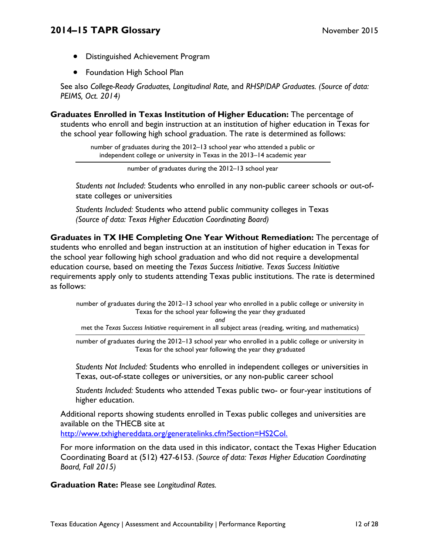- Distinguished Achievement Program
- **•** Foundation High School Plan

See also *College-Ready Graduates, Longitudinal Rate,* and *RHSP/DAP Graduates. (Source of data: PEIMS, Oct. 2014)* 

**Graduates Enrolled in Texas Institution of Higher Education:** The percentage of students who enroll and begin instruction at an institution of higher education in Texas for the school year following high school graduation. The rate is determined as follows:

> number of graduates during the 2012–13 school year who attended a public or independent college or university in Texas in the 2013–14 academic year

*Students not Included*: Students who enrolled in any non-public career schools or out-ofstate colleges or universities

*Students Included:* Students who attend public community colleges in Texas *(Source of data: Texas Higher Education Coordinating Board)* 

**Graduates in TX IHE Completing One Year Without Remediation:** The percentage of students who enrolled and began instruction at an institution of higher education in Texas for the school year following high school graduation and who did not require a developmental education course, based on meeting the *Texas Success Initiative*. *Texas Success Initiative*  requirements apply only to students attending Texas public institutions. The rate is determined as follows:

number of graduates during the 2012–13 school year who enrolled in a public college or university in Texas for the school year following the year they graduated

*and*

met the *Texas Success Initiative* requirement in all subject areas (reading, writing, and mathematics)

number of graduates during the 2012–13 school year who enrolled in a public college or university in Texas for the school year following the year they graduated

*Students Not Included:* Students who enrolled in independent colleges or universities in Texas, out-of-state colleges or universities, or any non-public career school

*Students Included:* Students who attended Texas public two- or four-year institutions of higher education.

Additional reports showing students enrolled in Texas public colleges and universities are available on the THECB site at

http://www.txhighereddata.org/generatelinks.cfm?Section=HS2Col.

For more information on the data used in this indicator, contact the Texas Higher Education Coordinating Board at (512) 427-6153. *(Source of data: Texas Higher Education Coordinating Board, Fall 2015)* 

**Graduation Rate:** Please see *Longitudinal Rates.* 

number of graduates during the 2012–13 school year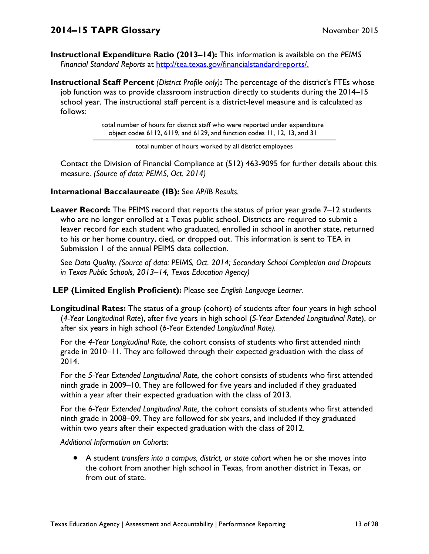**Instructional Expenditure Ratio (2013–14):** This information is available on the *PEIMS Financial Standard Reports* at http://tea.texas.gov/financialstandardreports/.

**Instructional Staff Percent** *(District Profile only)***:** The percentage of the district's FTEs whose job function was to provide classroom instruction directly to students during the 2014–15 school year. The instructional staff percent is a district-level measure and is calculated as follows:

> total number of hours for district staff who were reported under expenditure object codes 6112, 6119, and 6129, and function codes 11, 12, 13, and 31

> > total number of hours worked by all district employees

Contact the Division of Financial Compliance at (512) 463-9095 for further details about this measure. *(Source of data: PEIMS, Oct. 2014)* 

### **International Baccalaureate (IB):** See *AP/IB Results.*

**Leaver Record:** The PEIMS record that reports the status of prior year grade 7–12 students who are no longer enrolled at a Texas public school. Districts are required to submit a leaver record for each student who graduated, enrolled in school in another state, returned to his or her home country, died, or dropped out. This information is sent to TEA in Submission 1 of the annual PEIMS data collection.

See *Data Quality. (Source of data: PEIMS, Oct. 2014; Secondary School Completion and Dropouts in Texas Public Schools, 2013–14, Texas Education Agency)*

 **LEP (Limited English Proficient):** Please see *English Language Learner.* 

**Longitudinal Rates:** The status of a group (cohort) of students after four years in high school (*4-Year Longitudinal Rate*), after five years in high school (*5-Year Extended Longitudinal Rate*), or after six years in high school (*6-Year Extended Longitudinal Rate).* 

For the *4-Year Longitudinal Rate,* the cohort consists of students who first attended ninth grade in 2010–11. They are followed through their expected graduation with the class of 2014.

For the *5-Year Extended Longitudinal Rate,* the cohort consists of students who first attended ninth grade in 2009–10. They are followed for five years and included if they graduated within a year after their expected graduation with the class of 2013.

For the *6-Year Extended Longitudinal Rate,* the cohort consists of students who first attended ninth grade in 2008–09. They are followed for six years, and included if they graduated within two years after their expected graduation with the class of 2012.

*Additional Information on Cohorts:* 

 A student *transfers into a campus, district, or state cohort* when he or she moves into the cohort from another high school in Texas, from another district in Texas, or from out of state.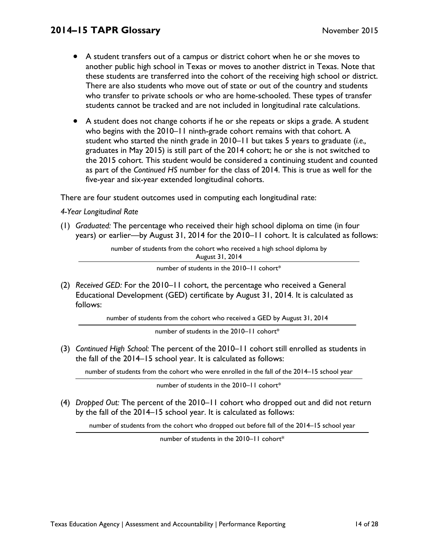- A student transfers out of a campus or district cohort when he or she moves to another public high school in Texas or moves to another district in Texas. Note that these students are transferred into the cohort of the receiving high school or district. There are also students who move out of state or out of the country and students who transfer to private schools or who are home-schooled. These types of transfer students cannot be tracked and are not included in longitudinal rate calculations.
- A student does not change cohorts if he or she repeats or skips a grade. A student who begins with the 2010–11 ninth-grade cohort remains with that cohort. A student who started the ninth grade in 2010–11 but takes 5 years to graduate (*i.e.,*  graduates in May 2015) is still part of the 2014 cohort; he or she is not switched to the 2015 cohort. This student would be considered a continuing student and counted as part of the *Continued HS* number for the class of 2014. This is true as well for the five-year and six-year extended longitudinal cohorts.

There are four student outcomes used in computing each longitudinal rate:

### *4-Year Longitudinal Rate*

(1) *Graduated:* The percentage who received their high school diploma on time (in four years) or earlier—by August 31, 2014 for the 2010–11 cohort. It is calculated as follows:

> number of students from the cohort who received a high school diploma by August 31, 2014

> > number of students in the 2010–11 cohort\*

(2) *Received GED:* For the 2010–11 cohort, the percentage who received a General Educational Development (GED) certificate by August 31, 2014. It is calculated as follows:

number of students from the cohort who received a GED by August 31, 2014

number of students in the 2010-11 cohort\*

(3) *Continued High School:* The percent of the 2010–11 cohort still enrolled as students in the fall of the 2014–15 school year. It is calculated as follows:

number of students from the cohort who were enrolled in the fall of the 2014–15 school year

number of students in the 2010–11 cohort\*

(4) *Dropped Out:* The percent of the 2010–11 cohort who dropped out and did not return by the fall of the 2014–15 school year. It is calculated as follows:

number of students from the cohort who dropped out before fall of the 2014–15 school year

number of students in the 2010–11 cohort\*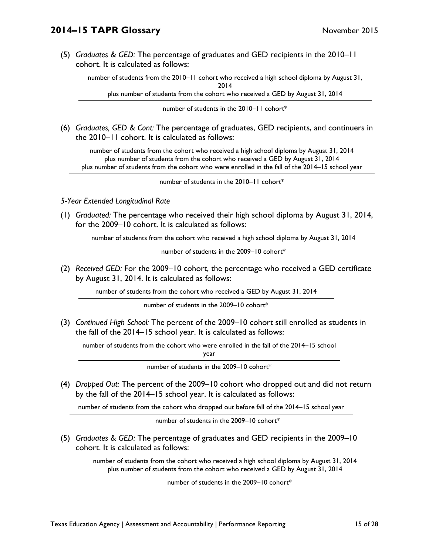(5) *Graduates & GED:* The percentage of graduates and GED recipients in the 2010–11 cohort. It is calculated as follows:

number of students from the 2010–11 cohort who received a high school diploma by August 31, 2014

plus number of students from the cohort who received a GED by August 31, 2014

number of students in the 2010–11 cohort\*

(6) *Graduates, GED & Cont:* The percentage of graduates, GED recipients, and continuers in the 2010–11 cohort. It is calculated as follows:

 number of students from the cohort who received a high school diploma by August 31, 2014 plus number of students from the cohort who received a GED by August 31, 2014 plus number of students from the cohort who were enrolled in the fall of the 2014–15 school year

number of students in the 2010–11 cohort\*

#### *5-Year Extended Longitudinal Rate*

(1) *Graduated:* The percentage who received their high school diploma by August 31, 2014, for the 2009–10 cohort. It is calculated as follows:

number of students from the cohort who received a high school diploma by August 31, 2014

number of students in the 2009–10 cohort\*

(2) *Received GED:* For the 2009–10 cohort, the percentage who received a GED certificate by August 31, 2014. It is calculated as follows:

number of students from the cohort who received a GED by August 31, 2014

number of students in the 2009–10 cohort\*

(3) *Continued High School:* The percent of the 2009–10 cohort still enrolled as students in the fall of the 2014–15 school year. It is calculated as follows:

number of students from the cohort who were enrolled in the fall of the 2014–15 school

year

number of students in the 2009–10 cohort\*

(4) *Dropped Out:* The percent of the 2009–10 cohort who dropped out and did not return by the fall of the 2014–15 school year. It is calculated as follows:

number of students from the cohort who dropped out before fall of the 2014–15 school year

number of students in the 2009–10 cohort\*

(5) *Graduates & GED:* The percentage of graduates and GED recipients in the 2009–10 cohort. It is calculated as follows:

 number of students from the cohort who received a high school diploma by August 31, 2014 plus number of students from the cohort who received a GED by August 31, 2014

number of students in the 2009–10 cohort\*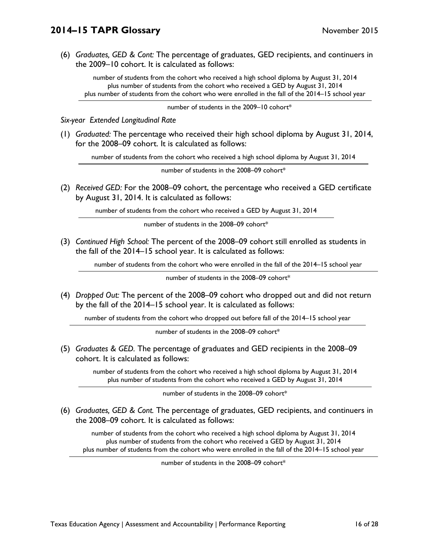(6) *Graduates, GED & Cont:* The percentage of graduates, GED recipients, and continuers in the 2009–10 cohort. It is calculated as follows:

 number of students from the cohort who received a high school diploma by August 31, 2014 plus number of students from the cohort who received a GED by August 31, 2014 plus number of students from the cohort who were enrolled in the fall of the 2014–15 school year

number of students in the 2009–10 cohort\*

*Six-year Extended Longitudinal Rate* 

(1) *Graduated:* The percentage who received their high school diploma by August 31, 2014, for the 2008–09 cohort. It is calculated as follows:

number of students from the cohort who received a high school diploma by August 31, 2014

number of students in the 2008–09 cohort\*

(2) *Received GED:* For the 2008–09 cohort, the percentage who received a GED certificate by August 31, 2014. It is calculated as follows:

number of students from the cohort who received a GED by August 31, 2014

number of students in the 2008–09 cohort\*

(3) *Continued High School:* The percent of the 2008–09 cohort still enrolled as students in the fall of the 2014–15 school year. It is calculated as follows:

number of students from the cohort who were enrolled in the fall of the 2014–15 school year

number of students in the 2008–09 cohort\*

(4) *Dropped Out:* The percent of the 2008–09 cohort who dropped out and did not return by the fall of the 2014–15 school year. It is calculated as follows:

number of students from the cohort who dropped out before fall of the 2014–15 school year

number of students in the 2008–09 cohort\*

(5) *Graduates & GED.* The percentage of graduates and GED recipients in the 2008–09 cohort. It is calculated as follows:

> number of students from the cohort who received a high school diploma by August 31, 2014 plus number of students from the cohort who received a GED by August 31, 2014

> > number of students in the 2008–09 cohort\*

(6) *Graduates, GED & Cont.* The percentage of graduates, GED recipients, and continuers in the 2008–09 cohort. It is calculated as follows:

 number of students from the cohort who received a high school diploma by August 31, 2014 plus number of students from the cohort who received a GED by August 31, 2014 plus number of students from the cohort who were enrolled in the fall of the 2014–15 school year

number of students in the 2008–09 cohort\*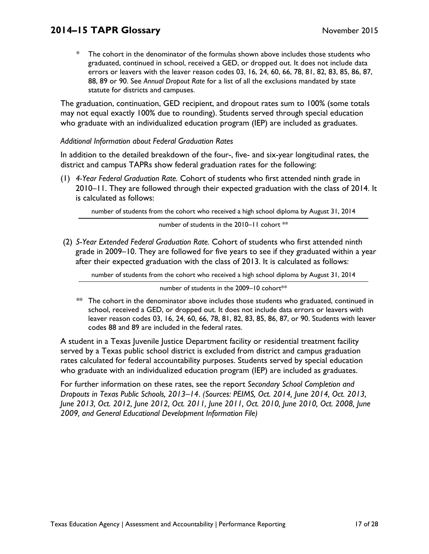\* The cohort in the denominator of the formulas shown above includes those students who graduated, continued in school, received a GED, or dropped out. It does not include data errors or leavers with the leaver reason codes 03, 16, 24, 60, 66, 78, 81, 82, 83, 85, 86, 87, 88, 89 or 90. See *Annual Dropout Rate* for a list of all the exclusions mandated by state statute for districts and campuses.

The graduation, continuation, GED recipient, and dropout rates sum to 100% (some totals may not equal exactly 100% due to rounding). Students served through special education who graduate with an individualized education program (IEP) are included as graduates.

### *Additional Information about Federal Graduation Rates*

In addition to the detailed breakdown of the four-, five- and six-year longitudinal rates, the district and campus TAPRs show federal graduation rates for the following:

(1) *4-Year Federal Graduation Rate.* Cohort of students who first attended ninth grade in 2010–11. They are followed through their expected graduation with the class of 2014. It is calculated as follows:

number of students from the cohort who received a high school diploma by August 31, 2014

number of students in the 2010–11 cohort \*\*

 (2) *5-Year Extended Federal Graduation Rate.* Cohort of students who first attended ninth grade in 2009–10. They are followed for five years to see if they graduated within a year after their expected graduation with the class of 2013. It is calculated as follows:

number of students from the cohort who received a high school diploma by August 31, 2014

number of students in the 2009-10 cohort\*\*

\*\* The cohort in the denominator above includes those students who graduated, continued in school, received a GED, or dropped out. It does not include data errors or leavers with leaver reason codes 03, 16, 24, 60, 66, 78, 81, 82, 83, 85, 86, 87, or 90. Students with leaver codes 88 and 89 are included in the federal rates.

A student in a Texas Juvenile Justice Department facility or residential treatment facility served by a Texas public school district is excluded from district and campus graduation rates calculated for federal accountability purposes. Students served by special education who graduate with an individualized education program (IEP) are included as graduates.

For further information on these rates, see the report *Secondary School Completion and Dropouts in Texas Public Schools, 2013–14*. *(Sources: PEIMS, Oct. 2014, June 2014, Oct. 2013, June 2013, Oct. 2012, June 2012, Oct. 2011, June 2011, Oct. 2010, June 2010, Oct. 2008, June 2009, and General Educational Development Information File)*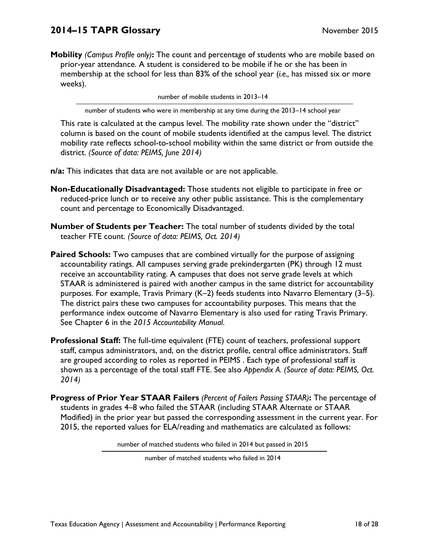**Mobility** *(Campus Profile only)***:** The count and percentage of students who are mobile based on prior-year attendance. A student is considered to be mobile if he or she has been in membership at the school for less than 83% of the school year (*i.e.,* has missed six or more weeks).

number of mobile students in 2013–14

number of students who were in membership at any time during the 2013–14 school year

This rate is calculated at the campus level. The mobility rate shown under the "district" column is based on the count of mobile students identified at the campus level. The district mobility rate reflects school-to-school mobility within the same district or from outside the district. *(Source of data: PEIMS, June 2014)* 

**n/a:** This indicates that data are not available or are not applicable.

- **Non-Educationally Disadvantaged:** Those students not eligible to participate in free or reduced-price lunch or to receive any other public assistance. This is the complementary count and percentage to Economically Disadvantaged.
- **Number of Students per Teacher:** The total number of students divided by the total teacher FTE count. *(Source of data: PEIMS, Oct. 2014)*
- **Paired Schools:** Two campuses that are combined virtually for the purpose of assigning accountability ratings. All campuses serving grade prekindergarten (PK) through 12 must receive an accountability rating. A campuses that does not serve grade levels at which STAAR is administered is paired with another campus in the same district for accountability purposes. For example, Travis Primary (K–2) feeds students into Navarro Elementary (3–5). The district pairs these two campuses for accountability purposes. This means that the performance index outcome of Navarro Elementary is also used for rating Travis Primary. See Chapter 6 in the *2015 Accountability Manual*.
- **Professional Staff:** The full-time equivalent (FTE) count of teachers, professional support staff, campus administrators, and, on the district profile, central office administrators. Staff are grouped according to roles as reported in PEIMS . Each type of professional staff is shown as a percentage of the total staff FTE. See also *Appendix A. (Source of data: PEIMS, Oct. 2014)*
- **Progress of Prior Year STAAR Failers** *(Percent of Failers Passing STAAR)***:** The percentage of students in grades 4–8 who failed the STAAR (including STAAR Alternate or STAAR Modified) in the prior year but passed the corresponding assessment in the current year. For 2015, the reported values for ELA/reading and mathematics are calculated as follows:

number of matched students who failed in 2014 but passed in 2015

number of matched students who failed in 2014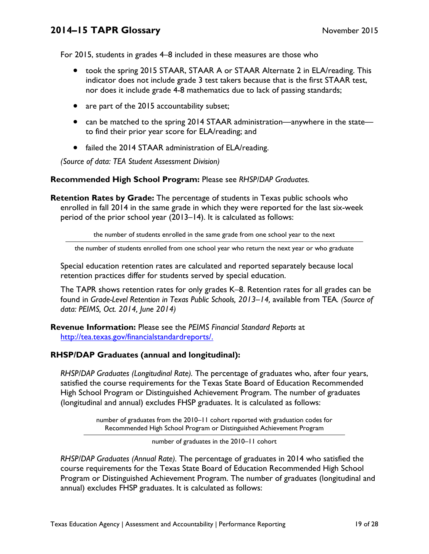For 2015, students in grades 4–8 included in these measures are those who

- took the spring 2015 STAAR, STAAR A or STAAR Alternate 2 in ELA/reading. This indicator does not include grade 3 test takers because that is the first STAAR test, nor does it include grade 4-8 mathematics due to lack of passing standards;
- are part of the 2015 accountability subset;
- can be matched to the spring 2014 STAAR administration—anywhere in the state to find their prior year score for ELA/reading; and
- failed the 2014 STAAR administration of ELA/reading.

*(Source of data: TEA Student Assessment Division)* 

### **Recommended High School Program:** Please see *RHSP/DAP Graduates.*

**Retention Rates by Grade:** The percentage of students in Texas public schools who enrolled in fall 2014 in the same grade in which they were reported for the last six-week period of the prior school year (2013–14). It is calculated as follows:

the number of students enrolled in the same grade from one school year to the next

the number of students enrolled from one school year who return the next year or who graduate

Special education retention rates are calculated and reported separately because local retention practices differ for students served by special education.

The TAPR shows retention rates for only grades K–8. Retention rates for all grades can be found in *Grade-Level Retention in Texas Public Schools, 2013–14,* available from TEA*. (Source of data: PEIMS, Oct. 2014, June 2014)* 

**Revenue Information:** Please see the *PEIMS Financial Standard Reports* at http://tea.texas.gov/financialstandardreports/.

### **RHSP/DAP Graduates (annual and longitudinal):**

*RHSP/DAP Graduates (Longitudinal Rate).* The percentage of graduates who, after four years, satisfied the course requirements for the Texas State Board of Education Recommended High School Program or Distinguished Achievement Program. The number of graduates (longitudinal and annual) excludes FHSP graduates. It is calculated as follows:

> number of graduates from the 2010–11 cohort reported with graduation codes for Recommended High School Program or Distinguished Achievement Program

#### number of graduates in the 2010–11 cohort

*RHSP/DAP Graduates (Annual Rate).* The percentage of graduates in 2014 who satisfied the course requirements for the Texas State Board of Education Recommended High School Program or Distinguished Achievement Program. The number of graduates (longitudinal and annual) excludes FHSP graduates. It is calculated as follows: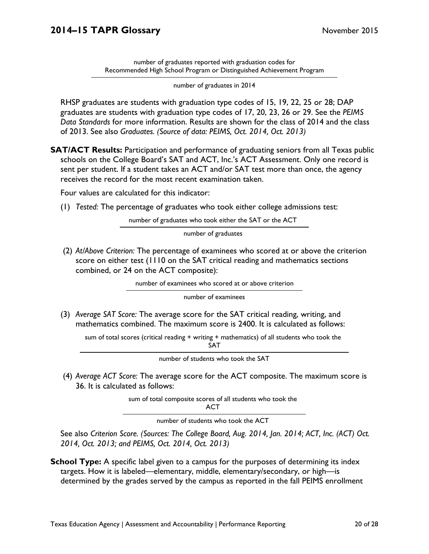number of graduates reported with graduation codes for Recommended High School Program or Distinguished Achievement Program

number of graduates in 2014

RHSP graduates are students with graduation type codes of 15, 19, 22, 25 or 28; DAP graduates are students with graduation type codes of 17, 20, 23, 26 or 29. See the *PEIMS Data Standards* for more information. Results are shown for the class of 2014 and the class of 2013. See also *Graduates. (Source of data: PEIMS, Oct. 2014, Oct. 2013)* 

**SAT/ACT Results:** Participation and performance of graduating seniors from all Texas public schools on the College Board's SAT and ACT, Inc.'s ACT Assessment. Only one record is sent per student. If a student takes an ACT and/or SAT test more than once, the agency receives the record for the most recent examination taken.

Four values are calculated for this indicator:

(1) *Tested:* The percentage of graduates who took either college admissions test:

number of graduates who took either the SAT or the ACT

number of graduates

 (2) *At/Above Criterion:* The percentage of examinees who scored at or above the criterion score on either test (1110 on the SAT critical reading and mathematics sections combined, or 24 on the ACT composite):

|  | number of examinees who scored at or above criterion |  |  |  |
|--|------------------------------------------------------|--|--|--|
|  |                                                      |  |  |  |

number of examinees

(3) *Average SAT Score:* The average score for the SAT critical reading, writing, and mathematics combined. The maximum score is 2400. It is calculated as follows:

sum of total scores (critical reading + writing + mathematics) of all students who took the SAT

number of students who took the SAT

 (4) *Average ACT Score:* The average score for the ACT composite. The maximum score is 36. It is calculated as follows:

sum of total composite scores of all students who took the

ACT

number of students who took the ACT

See also *Criterion Score. (Sources: The College Board, Aug. 2014, Jan. 2014; ACT, Inc. (ACT) Oct. 2014, Oct. 2013; and PEIMS, Oct. 2014, Oct. 2013)* 

**School Type:** A specific label given to a campus for the purposes of determining its index targets. How it is labeled—elementary, middle, elementary/secondary, or high—is determined by the grades served by the campus as reported in the fall PEIMS enrollment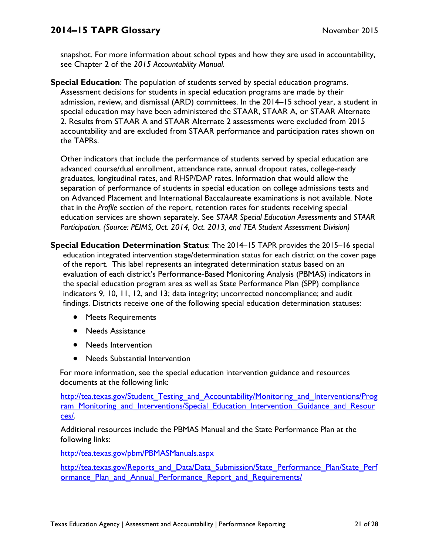see Chapter 2 of the *2015 Accountability Manual.* snapshot. For more information about school types and how they are used in accountability,

the TAPRs. **Special Education**: The population of students served by special education programs. Assessment decisions for students in special education programs are made by their admission, review, and dismissal (ARD) committees. In the 2014–15 school year, a student in special education may have been administered the STAAR, STAAR A, or STAAR Alternate 2. Results from STAAR A and STAAR Alternate 2 assessments were excluded from 2015 accountability and are excluded from STAAR performance and participation rates shown on

Other indicators that include the performance of students served by special education are advanced course/dual enrollment, attendance rate, annual dropout rates, college-ready graduates, longitudinal rates, and RHSP/DAP rates. Information that would allow the separation of performance of students in special education on college admissions tests and on Advanced Placement and International Baccalaureate examinations is not available. Note that in the *Profile* section of the report, retention rates for students receiving special education services are shown separately. See *STAAR Special Education Assessments* and *STAAR Participation. (Source: PEIMS, Oct. 2014, Oct. 2013, and TEA Student Assessment Division)* 

**Special Education Determination Status**: The 2014–15 TAPR provides the 2015–16 special education integrated intervention stage/determination status for each district on the cover page of the report. This label represents an integrated determination status based on an evaluation of each district's Performance-Based Monitoring Analysis (PBMAS) indicators in the special education program area as well as State Performance Plan (SPP) compliance indicators 9, 10, 11, 12, and 13; data integrity; uncorrected noncompliance; and audit findings. Districts receive one of the following special education determination statuses:

- Meets Requirements
- Needs Assistance
- Needs Intervention
- Needs Substantial Intervention

For more information, see the special education intervention guidance and resources documents at the following link:

http://tea.texas.gov/Student\_Testing\_and\_Accountability/Monitoring\_and\_Interventions/Prog ram Monitoring and Interventions/Special Education Intervention Guidance and Resour ces/.

Additional resources include the PBMAS Manual and the State Performance Plan at the following links:

http://tea.texas.gov/pbm/PBMASManuals.aspx

http://tea.texas.gov/Reports\_and\_Data/Data\_Submission/State\_Performance\_Plan/State\_Perf ormance Plan and Annual Performance Report and Requirements/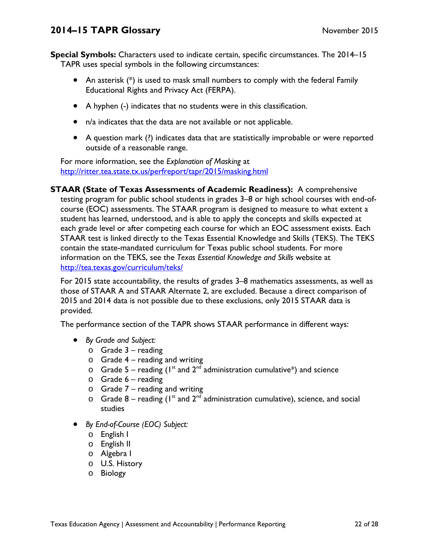**Special Symbols:** Characters used to indicate certain, specific circumstances. The 2014–15 TAPR uses special symbols in the following circumstances:

- An asterisk (\*) is used to mask small numbers to comply with the federal Family Educational Rights and Privacy Act (FERPA).
- A hyphen (-) indicates that no students were in this classification.
- n/a indicates that the data are not available or not applicable.
- A question mark (?) indicates data that are statistically improbable or were reported outside of a reasonable range.

For more information, see the *Explanation of Masking* at http://ritter.tea.state.tx.us/perfreport/tapr/2015/masking.html

**STAAR (State of Texas Assessments of Academic Readiness):** A comprehensive testing program for public school students in grades 3–8 or high school courses with end-ofcourse (EOC) assessments. The STAAR program is designed to measure to what extent a student has learned, understood, and is able to apply the concepts and skills expected at each grade level or after competing each course for which an EOC assessment exists. Each STAAR test is linked directly to the Texas Essential Knowledge and Skills (TEKS). The TEKS contain the state-mandated curriculum for Texas public school students. For more information on the TEKS, see the *Texas Essential Knowledge and Skills* website at http://tea.texas.gov/curriculum/teks/

For 2015 state accountability, the results of grades 3–8 mathematics assessments, as well as those of STAAR A and STAAR Alternate 2, are excluded. Because a direct comparison of 2015 and 2014 data is not possible due to these exclusions, only 2015 STAAR data is provided.

The performance section of the TAPR shows STAAR performance in different ways:

- *By Grade and Subject:* 
	- $\circ$  Grade 3 reading
	- $\circ$  Grade 4 reading and writing
	- $\circ$  Grade 5 reading (1<sup>st</sup> and 2<sup>nd</sup> administration cumulative\*) and science
	- $\circ$  Grade 6 reading
	- $\circ$  Grade 7 reading and writing
	- $\circ$  Grade 8 reading (1<sup>st</sup> and 2<sup>nd</sup> administration cumulative), science, and social studies
- *By End-of-Course (EOC) Subject:* 
	- o English I
	- o English II
	- o Algebra I
	- o U.S. History
	- o Biology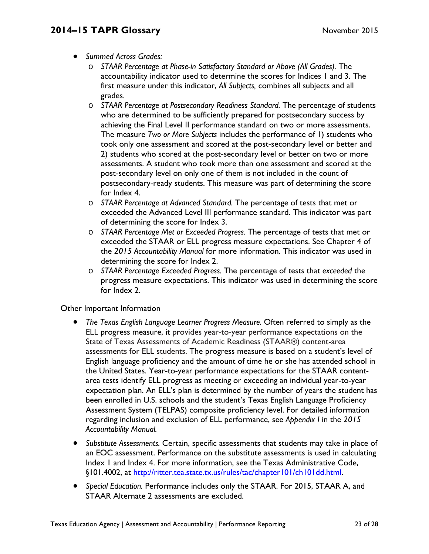- *Summed Across Grades:* 
	- o *STAAR Percentage at Phase-in Satisfactory Standard or Above (All Grades).* The accountability indicator used to determine the scores for Indices 1 and 3. The first measure under this indicator, *All Subjects,* combines all subjects and all grades.
	- o *STAAR Percentage at Postsecondary Readiness Standard.* The percentage of students who are determined to be sufficiently prepared for postsecondary success by achieving the Final Level II performance standard on two or more assessments. The measure *Two or More Subjects* includes the performance of 1) students who took only one assessment and scored at the post-secondary level or better and 2) students who scored at the post-secondary level or better on two or more assessments. A student who took more than one assessment and scored at the post-secondary level on only one of them is not included in the count of postsecondary-ready students. This measure was part of determining the score for Index 4.
	- o *STAAR Percentage at Advanced Standard.* The percentage of tests that met or exceeded the Advanced Level III performance standard. This indicator was part of determining the score for Index 3.
	- o *STAAR Percentage Met or Exceeded Progress.* The percentage of tests that met or exceeded the STAAR or ELL progress measure expectations. See Chapter 4 of the *2015 Accountability Manual* for more information. This indicator was used in determining the score for Index 2.
	- o *STAAR Percentage Exceeded Progress.* The percentage of tests that *exceeded* the progress measure expectations. This indicator was used in determining the score for Index 2.

Other Important Information

- *The Texas English Language Learner Progress Measure.* Often referred to simply as the ELL progress measure, it provides year-to-year performance expectations on the State of Texas Assessments of Academic Readiness (STAAR®) content-area assessments for ELL students. The progress measure is based on a student's level of English language proficiency and the amount of time he or she has attended school in the United States. Year-to-year performance expectations for the STAAR contentarea tests identify ELL progress as meeting or exceeding an individual year-to-year expectation plan. An ELL's plan is determined by the number of years the student has been enrolled in U.S. schools and the student's Texas English Language Proficiency Assessment System (TELPAS) composite proficiency level. For detailed information regarding inclusion and exclusion of ELL performance, see *Appendix I* in the *2015 Accountability Manual.*
- *Substitute Assessments.* Certain, specific assessments that students may take in place of an EOC assessment. Performance on the substitute assessments is used in calculating Index 1 and Index 4. For more information, see the Texas Administrative Code, §101.4002, at http://ritter.tea.state.tx.us/rules/tac/chapter101/ch101dd.html.
- *Special Education.* Performance includes only the STAAR. For 2015, STAAR A, and STAAR Alternate 2 assessments are excluded.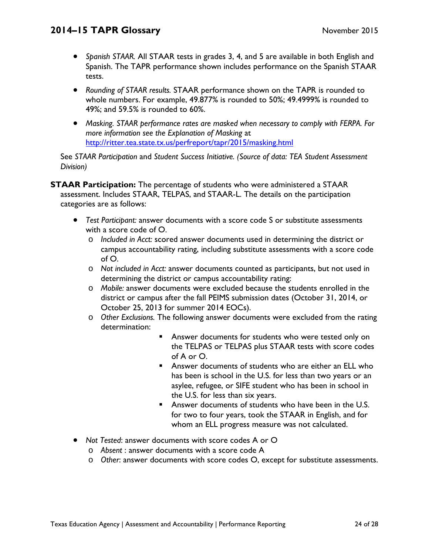- *Spanish STAAR.* All STAAR tests in grades 3, 4, and 5 are available in both English and Spanish. The TAPR performance shown includes performance on the Spanish STAAR tests.
- *Rounding of STAAR results.* STAAR performance shown on the TAPR is rounded to whole numbers. For example, 49.877% is rounded to 50%; 49.4999% is rounded to 49%; and 59.5% is rounded to 60%.
- *Masking. STAAR performance rates are masked when necessary to comply with FERPA. For more information see the Explanation of Masking* at http://ritter.tea.state.tx.us/perfreport/tapr/2015/masking.html

See *STAAR Participation* and *Student Success Initiative. (Source of data: TEA Student Assessment Division)* 

**STAAR Participation:** The percentage of students who were administered a STAAR assessment. Includes STAAR, TELPAS, and STAAR-L. The details on the participation categories are as follows:

- *Test Participant:* answer documents with a score code S or substitute assessments with a score code of O.
	- o *Included in Acct:* scored answer documents used in determining the district or campus accountability rating, including substitute assessments with a score code of O.
	- o *Not included in Acct:* answer documents counted as participants, but not used in determining the district or campus accountability rating:
	- o *Mobile:* answer documents were excluded because the students enrolled in the district or campus after the fall PEIMS submission dates (October 31, 2014, or October 25, 2013 for summer 2014 EOCs).
	- o *Other Exclusions.* The following answer documents were excluded from the rating determination:
		- Answer documents for students who were tested only on the TELPAS or TELPAS plus STAAR tests with score codes of A or O.
		- Answer documents of students who are either an ELL who has been is school in the U.S. for less than two years or an asylee, refugee, or SIFE student who has been in school in the U.S. for less than six years.
		- **Answer documents of students who have been in the U.S.** for two to four years, took the STAAR in English, and for whom an ELL progress measure was not calculated.
- *Not Tested*: answer documents with score codes A or O
	- o *Absent* : answer documents with a score code A
	- o *Other*: answer documents with score codes O, except for substitute assessments.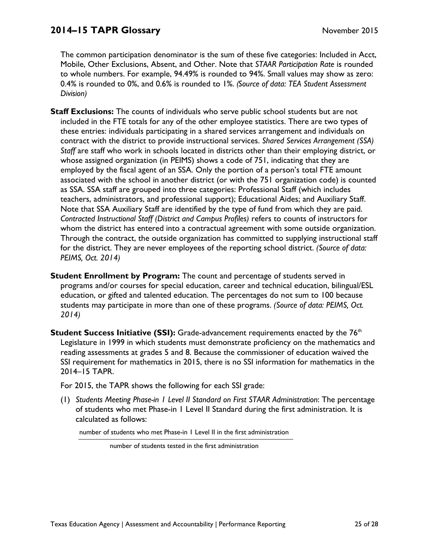The common participation denominator is the sum of these five categories: Included in Acct, Mobile, Other Exclusions, Absent, and Other. Note that *STAAR Participation Rate* is rounded to whole numbers. For example, 94.49% is rounded to 94%. Small values may show as zero: 0.4% is rounded to 0%, and 0.6% is rounded to 1%. *(Source of data: TEA Student Assessment Division)* 

- **Staff Exclusions:** The counts of individuals who serve public school students but are not included in the FTE totals for any of the other employee statistics. There are two types of these entries: individuals participating in a shared services arrangement and individuals on contract with the district to provide instructional services. *Shared Services Arrangement (SSA) Staff* are staff who work in schools located in districts other than their employing district, or whose assigned organization (in PEIMS) shows a code of 751, indicating that they are employed by the fiscal agent of an SSA. Only the portion of a person's total FTE amount associated with the school in another district (or with the 751 organization code) is counted as SSA. SSA staff are grouped into three categories: Professional Staff (which includes teachers, administrators, and professional support); Educational Aides; and Auxiliary Staff. Note that SSA Auxiliary Staff are identified by the type of fund from which they are paid. *Contracted Instructional Staff (District and Campus Profiles)* refers to counts of instructors for whom the district has entered into a contractual agreement with some outside organization. Through the contract, the outside organization has committed to supplying instructional staff for the district. They are never employees of the reporting school district. *(Source of data: PEIMS, Oct. 2014)*
- *2014)* **Student Enrollment by Program:** The count and percentage of students served in programs and/or courses for special education, career and technical education, bilingual/ESL education, or gifted and talented education. The percentages do not sum to 100 because students may participate in more than one of these programs. *(Source of data: PEIMS, Oct.*
- **Student Success Initiative (SSI):** Grade-advancement requirements enacted by the 76<sup>th</sup> Legislature in 1999 in which students must demonstrate proficiency on the mathematics and reading assessments at grades 5 and 8. Because the commissioner of education waived the SSI requirement for mathematics in 2015, there is no SSI information for mathematics in the 2014–15 TAPR.

For 2015, the TAPR shows the following for each SSI grade:

(1) *Students Meeting Phase-in 1 Level II Standard on First STAAR Administration*: The percentage of students who met Phase-in 1 Level II Standard during the first administration. It is calculated as follows:

number of students who met Phase-in 1 Level II in the first administration

number of students tested in the first administration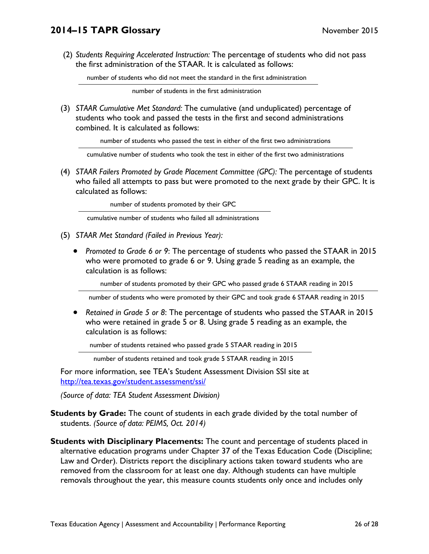(2) *Students Requiring Accelerated Instruction:* The percentage of students who did not pass the first administration of the STAAR. It is calculated as follows:

number of students who did not meet the standard in the first administration

number of students in the first administration

(3) *STAAR Cumulative Met Standard:* The cumulative (and unduplicated) percentage of students who took and passed the tests in the first and second administrations combined. It is calculated as follows:

number of students who passed the test in either of the first two administrations

cumulative number of students who took the test in either of the first two administrations

(4) *STAAR Failers Promoted by Grade Placement Committee (GPC):* The percentage of students who failed all attempts to pass but were promoted to the next grade by their GPC. It is calculated as follows:

number of students promoted by their GPC

cumulative number of students who failed all administrations

- (5) *STAAR Met Standard (Failed in Previous Year):* 
	- *Promoted to Grade 6 or 9*: The percentage of students who passed the STAAR in 2015 who were promoted to grade 6 or 9. Using grade 5 reading as an example, the calculation is as follows:

number of students promoted by their GPC who passed grade 6 STAAR reading in 2015

number of students who were promoted by their GPC and took grade 6 STAAR reading in 2015

 *Retained in Grade 5 or 8*: The percentage of students who passed the STAAR in 2015 who were retained in grade 5 or 8. Using grade 5 reading as an example, the calculation is as follows:

number of students retained who passed grade 5 STAAR reading in 2015

number of students retained and took grade 5 STAAR reading in 2015

For more information, see TEA's Student Assessment Division SSI site at http://tea.texas.gov/student.assessment/ssi/

*(Source of data: TEA Student Assessment Division)* 

- **Students by Grade:** The count of students in each grade divided by the total number of students. *(Source of data: PEIMS, Oct. 2014)*
- **Students with Disciplinary Placements:** The count and percentage of students placed in alternative education programs under Chapter 37 of the Texas Education Code (Discipline; Law and Order). Districts report the disciplinary actions taken toward students who are removed from the classroom for at least one day. Although students can have multiple removals throughout the year, this measure counts students only once and includes only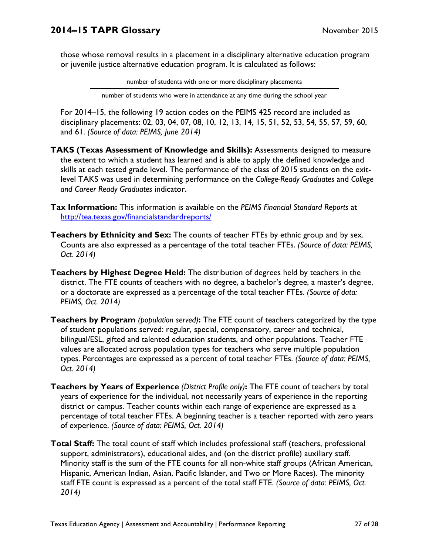those whose removal results in a placement in a disciplinary alternative education program or juvenile justice alternative education program. It is calculated as follows:

number of students with one or more disciplinary placements

number of students who were in attendance at any time during the school year

For 2014–15, the following 19 action codes on the PEIMS 425 record are included as disciplinary placements: 02, 03, 04, 07, 08, 10, 12, 13, 14, 15, 51, 52, 53, 54, 55, 57, 59, 60, and 61. *(Source of data: PEIMS, June 2014)* 

- **TAKS (Texas Assessment of Knowledge and Skills):** Assessments designed to measure the extent to which a student has learned and is able to apply the defined knowledge and skills at each tested grade level. The performance of the class of 2015 students on the exitlevel TAKS was used in determining performance on the *College-Ready Graduates* and *College and Career Ready Graduates* indicator.
- **Tax Information:** This information is available on the *PEIMS Financial Standard Reports* at http://tea.texas.gov/financialstandardreports/
- **Teachers by Ethnicity and Sex:** The counts of teacher FTEs by ethnic group and by sex. Counts are also expressed as a percentage of the total teacher FTEs. *(Source of data: PEIMS, Oct. 2014)*
- **Teachers by Highest Degree Held:** The distribution of degrees held by teachers in the district. The FTE counts of teachers with no degree, a bachelor's degree, a master's degree, or a doctorate are expressed as a percentage of the total teacher FTEs. *(Source of data: PEIMS, Oct. 2014)*
- **Teachers by Program** *(population served)***:** The FTE count of teachers categorized by the type of student populations served: regular, special, compensatory, career and technical, bilingual/ESL, gifted and talented education students, and other populations. Teacher FTE values are allocated across population types for teachers who serve multiple population types. Percentages are expressed as a percent of total teacher FTEs. *(Source of data: PEIMS, Oct. 2014)*
- **Teachers by Years of Experience** *(District Profile only)***:** The FTE count of teachers by total years of experience for the individual, not necessarily years of experience in the reporting district or campus. Teacher counts within each range of experience are expressed as a percentage of total teacher FTEs. A beginning teacher is a teacher reported with zero years of experience. *(Source of data: PEIMS, Oct. 2014)*
- **Total Staff:** The total count of staff which includes professional staff (teachers, professional support, administrators), educational aides, and (on the district profile) auxiliary staff. Minority staff is the sum of the FTE counts for all non-white staff groups (African American, Hispanic, American Indian, Asian, Pacific Islander, and Two or More Races). The minority staff FTE count is expressed as a percent of the total staff FTE. *(Source of data: PEIMS, Oct. 2014)*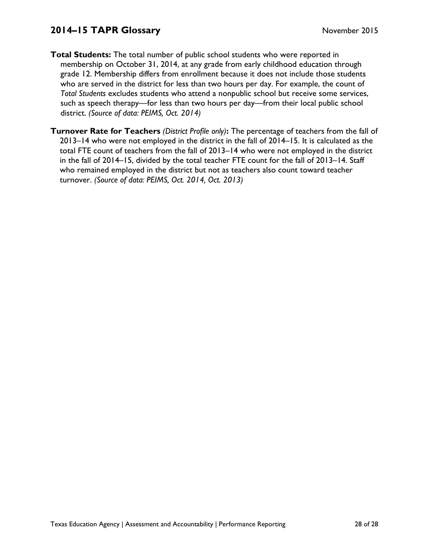- **Total Students:** The total number of public school students who were reported in membership on October 31, 2014, at any grade from early childhood education through grade 12. Membership differs from enrollment because it does not include those students who are served in the district for less than two hours per day. For example, the count of *Total Students* excludes students who attend a nonpublic school but receive some services, such as speech therapy—for less than two hours per day—from their local public school district. *(Source of data: PEIMS, Oct. 2014)*
- **Turnover Rate for Teachers** *(District Profile only)***:** The percentage of teachers from the fall of 2013–14 who were not employed in the district in the fall of 2014–15. It is calculated as the total FTE count of teachers from the fall of 2013–14 who were not employed in the district in the fall of 2014–15, divided by the total teacher FTE count for the fall of 2013–14. Staff who remained employed in the district but not as teachers also count toward teacher turnover. *(Source of data: PEIMS, Oct. 2014, Oct. 2013)*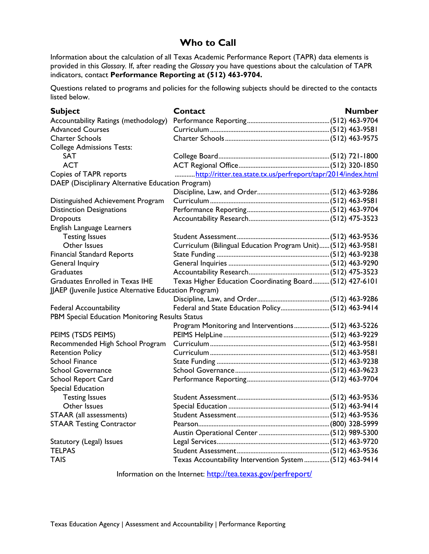## **Who to Call**

Information about the calculation of all Texas Academic Performance Report (TAPR) data elements is provided in this *Glossary.* If, after reading the *Glossary* you have questions about the calculation of TAPR indicators, contact **Performance Reporting at (512) 463-9704.** 

Questions related to programs and policies for the following subjects should be directed to the contacts listed below.

| <b>Subject</b>                                         | Contact                                                       | <b>Number</b> |
|--------------------------------------------------------|---------------------------------------------------------------|---------------|
| Accountability Ratings (methodology)                   |                                                               |               |
| <b>Advanced Courses</b>                                |                                                               |               |
| <b>Charter Schools</b>                                 |                                                               |               |
| <b>College Admissions Tests:</b>                       |                                                               |               |
| SAT                                                    |                                                               |               |
| <b>ACT</b>                                             |                                                               |               |
| Copies of TAPR reports                                 | http://ritter.tea.state.tx.us/perfreport/tapr/2014/index.html |               |
| DAEP (Disciplinary Alternative Education Program)      |                                                               |               |
|                                                        |                                                               |               |
| Distinguished Achievement Program                      |                                                               |               |
| <b>Distinction Designations</b>                        |                                                               |               |
| <b>Dropouts</b>                                        |                                                               |               |
| English Language Learners                              |                                                               |               |
| <b>Testing Issues</b>                                  |                                                               |               |
| Other Issues                                           | Curriculum (Bilingual Education Program Unit) (512) 463-9581  |               |
| <b>Financial Standard Reports</b>                      |                                                               |               |
| General Inquiry                                        |                                                               |               |
| <b>Graduates</b>                                       |                                                               |               |
| <b>Graduates Enrolled in Texas IHE</b>                 | Texas Higher Education Coordinating Board (512) 427-6101      |               |
| JJAEP (Juvenile Justice Alternative Education Program) |                                                               |               |
|                                                        |                                                               |               |
| <b>Federal Accountability</b>                          |                                                               |               |
| PBM Special Education Monitoring Results Status        |                                                               |               |
|                                                        | Program Monitoring and Interventions (512) 463-5226           |               |
| PEIMS (TSDS PEIMS)                                     |                                                               |               |
| Recommended High School Program                        |                                                               |               |
| <b>Retention Policy</b>                                |                                                               |               |
| <b>School Finance</b>                                  |                                                               |               |
| <b>School Governance</b>                               |                                                               |               |
| <b>School Report Card</b>                              |                                                               |               |
| Special Education                                      |                                                               |               |
| <b>Testing Issues</b>                                  |                                                               |               |
| Other Issues                                           |                                                               |               |
| STAAR (all assessments)                                |                                                               |               |
| <b>STAAR Testing Contractor</b>                        |                                                               |               |
|                                                        |                                                               |               |
| Statutory (Legal) Issues                               |                                                               |               |
| <b>TELPAS</b>                                          |                                                               |               |
| <b>TAIS</b>                                            | Texas Accountability Intervention System  (512) 463-9414      |               |

Information on the Internet: http://tea.texas.gov/perfreport/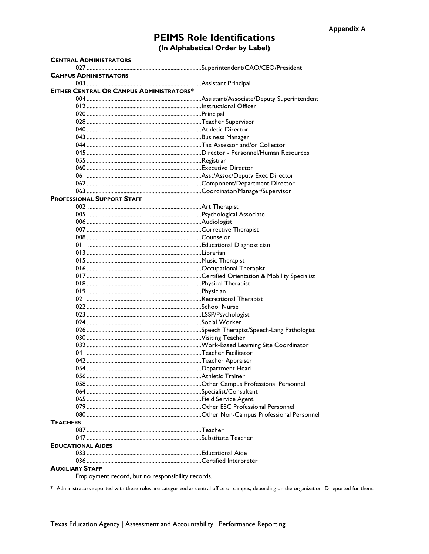# **PEIMS Role Identifications**

(In Alphabetical Order by Label)

| <b>CENTRAL ADMINISTRATORS</b>                   |  |
|-------------------------------------------------|--|
|                                                 |  |
| <b>CAMPUS ADMINISTRATORS</b>                    |  |
|                                                 |  |
| <b>EITHER CENTRAL OR CAMPUS ADMINISTRATORS*</b> |  |
|                                                 |  |
|                                                 |  |
|                                                 |  |
|                                                 |  |
|                                                 |  |
|                                                 |  |
|                                                 |  |
|                                                 |  |
|                                                 |  |
|                                                 |  |
|                                                 |  |
|                                                 |  |
|                                                 |  |
|                                                 |  |
| <b>PROFESSIONAL SUPPORT STAFF</b>               |  |
|                                                 |  |
|                                                 |  |
|                                                 |  |
|                                                 |  |
|                                                 |  |
|                                                 |  |
|                                                 |  |
|                                                 |  |
|                                                 |  |
|                                                 |  |
|                                                 |  |
|                                                 |  |
|                                                 |  |
|                                                 |  |
|                                                 |  |
|                                                 |  |
|                                                 |  |
|                                                 |  |
|                                                 |  |
|                                                 |  |
|                                                 |  |
|                                                 |  |
|                                                 |  |
|                                                 |  |
|                                                 |  |
|                                                 |  |
|                                                 |  |
|                                                 |  |
|                                                 |  |
|                                                 |  |
|                                                 |  |
| <b>TEACHERS</b>                                 |  |
|                                                 |  |
|                                                 |  |
| <b>EDUCATIONAL AIDES</b>                        |  |
|                                                 |  |
|                                                 |  |
| <b>AUXILIARY STAFF</b>                          |  |
|                                                 |  |

Employment record, but no responsibility records.

\* Administrators reported with these roles are categorized as central office or campus, depending on the organization ID reported for them.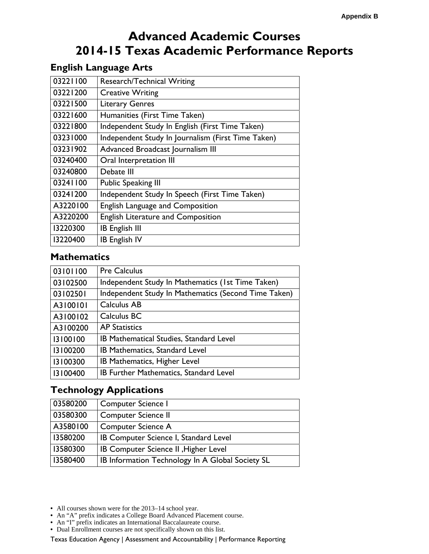# **Advanced Academic Courses 2014-15 Texas Academic Performance Reports**

## **English Language Arts**

| 03221100 | Research/Technical Writing                         |
|----------|----------------------------------------------------|
| 03221200 | <b>Creative Writing</b>                            |
| 03221500 | <b>Literary Genres</b>                             |
| 03221600 | Humanities (First Time Taken)                      |
| 03221800 | Independent Study In English (First Time Taken)    |
| 03231000 | Independent Study In Journalism (First Time Taken) |
| 03231902 | Advanced Broadcast Journalism III                  |
| 03240400 | Oral Interpretation III                            |
| 03240800 | Debate III                                         |
| 03241100 | <b>Public Speaking III</b>                         |
| 03241200 | Independent Study In Speech (First Time Taken)     |
| A3220100 | <b>English Language and Composition</b>            |
| A3220200 | <b>English Literature and Composition</b>          |
| 13220300 | <b>IB English III</b>                              |
| 13220400 | <b>IB English IV</b>                               |

### **Mathematics**

| 03101100 | <b>Pre Calculus</b>                                  |
|----------|------------------------------------------------------|
| 03102500 | Independent Study In Mathematics (1st Time Taken)    |
| 03102501 | Independent Study In Mathematics (Second Time Taken) |
| A3100101 | Calculus AB                                          |
| A3100102 | Calculus BC                                          |
| A3100200 | <b>AP Statistics</b>                                 |
| 13100100 | IB Mathematical Studies, Standard Level              |
| 13100200 | IB Mathematics, Standard Level                       |
| 13100300 | IB Mathematics, Higher Level                         |
| 13100400 | IB Further Mathematics, Standard Level               |

## **Technology Applications**

| 03580200 | Computer Science I                               |
|----------|--------------------------------------------------|
| 03580300 | <b>Computer Science II</b>                       |
| A3580100 | Computer Science A                               |
| 13580200 | IB Computer Science I, Standard Level            |
| 13580300 | IB Computer Science II , Higher Level            |
| 13580400 | IB Information Technology In A Global Society SL |

**•** All courses shown were for the 2013–14 school year.

- **•** An "A" prefix indicates a College Board Advanced Placement course.
- **•** An "I" prefix indicates an International Baccalaureate course.
- **•** Dual Enrollment courses are not specifically shown on this list.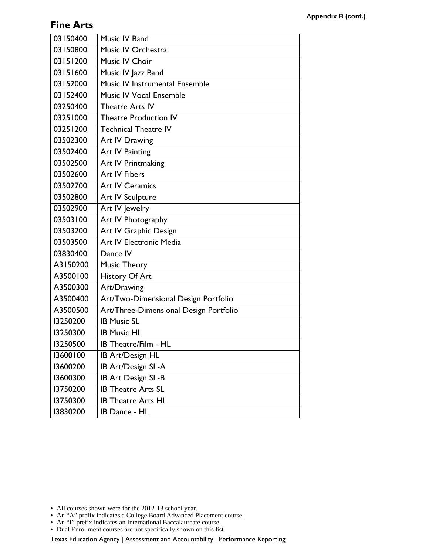### **Fine Arts**

| 03150400 | Music IV Band                          |
|----------|----------------------------------------|
| 03150800 | Music IV Orchestra                     |
| 03151200 | Music IV Choir                         |
| 03151600 | Music IV Jazz Band                     |
| 03152000 | Music IV Instrumental Ensemble         |
| 03152400 | <b>Music IV Vocal Ensemble</b>         |
| 03250400 | <b>Theatre Arts IV</b>                 |
| 03251000 | <b>Theatre Production IV</b>           |
| 03251200 | <b>Technical Theatre IV</b>            |
| 03502300 | Art IV Drawing                         |
| 03502400 | Art IV Painting                        |
| 03502500 | Art IV Printmaking                     |
| 03502600 | <b>Art IV Fibers</b>                   |
| 03502700 | <b>Art IV Ceramics</b>                 |
| 03502800 | Art IV Sculpture                       |
| 03502900 | Art IV Jewelry                         |
| 03503100 | Art IV Photography                     |
| 03503200 | Art IV Graphic Design                  |
| 03503500 | Art IV Electronic Media                |
| 03830400 | Dance IV                               |
| A3150200 | <b>Music Theory</b>                    |
| A3500100 | History Of Art                         |
| A3500300 | Art/Drawing                            |
| A3500400 | Art/Two-Dimensional Design Portfolio   |
| A3500500 | Art/Three-Dimensional Design Portfolio |
| 13250200 | <b>IB Music SL</b>                     |
| 13250300 | <b>IB Music HL</b>                     |
| 13250500 | IB Theatre/Film - HL                   |
| 13600100 | IB Art/Design HL                       |
| 13600200 | IB Art/Design SL-A                     |
| 13600300 | IB Art Design SL-B                     |
| 13750200 | <b>IB Theatre Arts SL</b>              |
| 13750300 | <b>IB Theatre Arts HL</b>              |
| 13830200 | IB Dance - HL                          |

- **•** All courses shown were for the 2012-13 school year.
- **•** An "A" prefix indicates a College Board Advanced Placement course.
- **•** An "I" prefix indicates an International Baccalaureate course.
- **•** Dual Enrollment courses are not specifically shown on this list.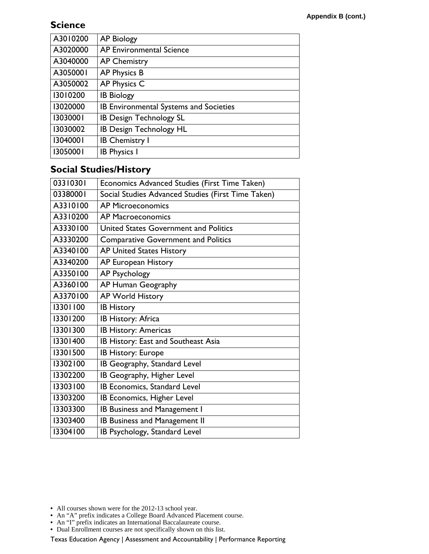### **Science**

| A3010200 | <b>AP Biology</b>                      |
|----------|----------------------------------------|
| A3020000 | AP Environmental Science               |
| A3040000 | <b>AP Chemistry</b>                    |
| A3050001 | AP Physics B                           |
| A3050002 | AP Physics C                           |
| 13010200 | <b>IB Biology</b>                      |
| 13020000 | IB Environmental Systems and Societies |
| 13030001 | <b>IB Design Technology SL</b>         |
| 13030002 | <b>IB Design Technology HL</b>         |
| 13040001 | <b>IB Chemistry I</b>                  |
| 13050001 | <b>IB Physics I</b>                    |
|          |                                        |

### **Social Studies/History**

| 03310301 | Economics Advanced Studies (First Time Taken)      |
|----------|----------------------------------------------------|
| 03380001 | Social Studies Advanced Studies (First Time Taken) |
| A3310100 | <b>AP Microeconomics</b>                           |
| A3310200 | <b>AP Macroeconomics</b>                           |
| A3330100 | United States Government and Politics              |
| A3330200 | <b>Comparative Government and Politics</b>         |
| A3340100 | <b>AP United States History</b>                    |
| A3340200 | AP European History                                |
| A3350100 | <b>AP Psychology</b>                               |
| A3360100 | AP Human Geography                                 |
| A3370100 | <b>AP World History</b>                            |
| 13301100 | <b>IB History</b>                                  |
| 13301200 | IB History: Africa                                 |
| 13301300 | <b>IB History: Americas</b>                        |
| 13301400 | IB History: East and Southeast Asia                |
| 13301500 | IB History: Europe                                 |
| 13302100 | IB Geography, Standard Level                       |
| 13302200 | IB Geography, Higher Level                         |
| 13303100 | IB Economics, Standard Level                       |
| 13303200 | IB Economics, Higher Level                         |
| 13303300 | IB Business and Management I                       |
| 13303400 | <b>IB Business and Management II</b>               |
| 13304100 | IB Psychology, Standard Level                      |

**•** All courses shown were for the 2012-13 school year.

- **•** An "A" prefix indicates a College Board Advanced Placement course.
- **•** An "I" prefix indicates an International Baccalaureate course.
- **•** Dual Enrollment courses are not specifically shown on this list.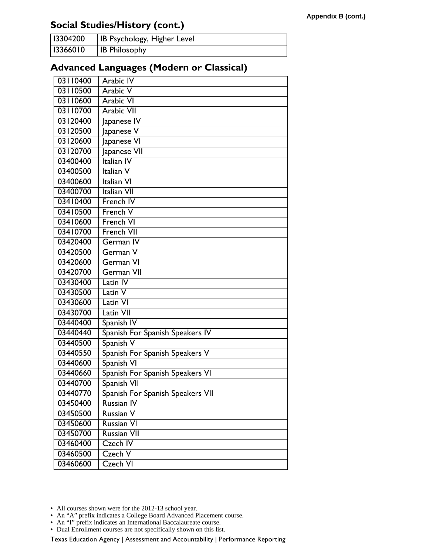## **Social Studies/History (cont.)**

| 13304200 | <b>IB Psychology, Higher Level</b> |
|----------|------------------------------------|
| 13366010 | <b>IB Philosophy</b>               |

## **Advanced Languages (Modern or Classical)**

| 03110400 | Arabic IV                        |
|----------|----------------------------------|
| 03110500 | <b>Arabic V</b>                  |
| 03110600 | <b>Arabic VI</b>                 |
| 03110700 | <b>Arabic VII</b>                |
| 03120400 | Japanese IV                      |
| 03120500 | Japanese V                       |
| 03120600 | Japanese VI                      |
| 03120700 | Japanese VII                     |
| 03400400 | Italian IV                       |
| 03400500 | Italian V                        |
| 03400600 | Italian VI                       |
| 03400700 | Italian VII                      |
| 03410400 | French IV                        |
| 03410500 | French V                         |
| 03410600 | French VI                        |
| 03410700 | French VII                       |
| 03420400 | German <sub>IV</sub>             |
| 03420500 | German V                         |
| 03420600 | <b>German VI</b>                 |
| 03420700 | German VII                       |
| 03430400 | Latin IV                         |
| 03430500 | Latin V                          |
| 03430600 | Latin VI                         |
| 03430700 | Latin VII                        |
| 03440400 | Spanish IV                       |
| 03440440 | Spanish For Spanish Speakers IV  |
| 03440500 | Spanish V                        |
| 03440550 | Spanish For Spanish Speakers V   |
| 03440600 | Spanish VI                       |
| 03440660 | Spanish For Spanish Speakers VI  |
| 03440700 | Spanish VII                      |
| 03440770 | Spanish For Spanish Speakers VII |
| 03450400 | <b>Russian IV</b>                |
| 03450500 | Russian V                        |
| 03450600 | Russian VI                       |
| 03450700 | <b>Russian VII</b>               |
| 03460400 | Czech IV                         |
| 03460500 | Czech V                          |
| 03460600 | Czech VI                         |

**•** All courses shown were for the 2012-13 school year.

- **•** An "I" prefix indicates an International Baccalaureate course.
- **•** Dual Enrollment courses are not specifically shown on this list.

**<sup>•</sup>** An "A" prefix indicates a College Board Advanced Placement course.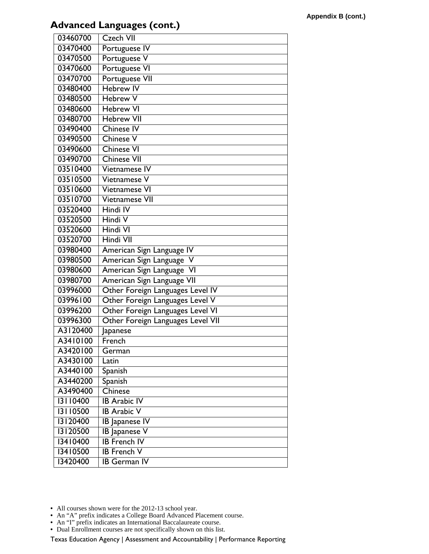## **Advanced Languages (cont.)**

| 03460700 | <b>Czech VII</b>                  |
|----------|-----------------------------------|
| 03470400 | Portuguese IV                     |
| 03470500 | Portuguese V                      |
| 03470600 | Portuguese VI                     |
| 03470700 | Portuguese VII                    |
| 03480400 | <b>Hebrew IV</b>                  |
| 03480500 | <b>Hebrew V</b>                   |
| 03480600 | <b>Hebrew VI</b>                  |
| 03480700 | <b>Hebrew VII</b>                 |
| 03490400 | <b>Chinese IV</b>                 |
| 03490500 | Chinese V                         |
| 03490600 | Chinese VI                        |
| 03490700 | <b>Chinese VII</b>                |
| 03510400 | Vietnamese IV                     |
| 03510500 | Vietnamese V                      |
| 03510600 | Vietnamese VI                     |
| 03510700 | Vietnamese VII                    |
| 03520400 | Hindi IV                          |
| 03520500 | Hindi V                           |
| 03520600 | Hindi VI                          |
| 03520700 | Hindi VII                         |
| 03980400 | American Sign Language IV         |
| 03980500 | American Sign Language V          |
| 03980600 | American Sign Language VI         |
| 03980700 | American Sign Language VII        |
| 03996000 | Other Foreign Languages Level IV  |
| 03996100 | Other Foreign Languages Level V   |
| 03996200 | Other Foreign Languages Level VI  |
| 03996300 | Other Foreign Languages Level VII |
| A3120400 | Japanese                          |
| A3410100 | French                            |
| A3420100 | German                            |
| A3430100 | Latin                             |
| A3440100 | Spanish                           |
| A3440200 | Spanish                           |
| A3490400 | Chinese                           |
| 13110400 | <b>IB Arabic IV</b>               |
| 13110500 | <b>IB Arabic V</b>                |
| 13120400 | <b>IB Japanese IV</b>             |
| 13120500 | <b>IB</b> Japanese V              |
| 13410400 | <b>IB French IV</b>               |
| 13410500 | <b>IB</b> French V                |
| 13420400 | <b>IB German IV</b>               |

- **•** An "A" prefix indicates a College Board Advanced Placement course.
- **•** An "I" prefix indicates an International Baccalaureate course.
- **•** Dual Enrollment courses are not specifically shown on this list.